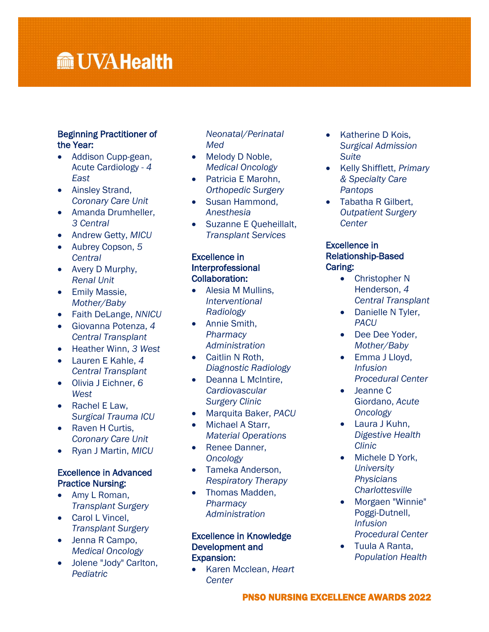# **Manufall UVA Health**

### Beginning Practitioner of the Year:

- Addison Cupp-gean, Acute Cardiology *- 4 East*
- Ainsley Strand, *Coronary Care Unit*
- Amanda Drumheller, *3 Central*
- Andrew Getty, *MICU*
- Aubrey Copson, *5 Central*
- Avery D Murphy, *Renal Unit*
- **•** Emily Massie, *Mother/Baby*
- Faith DeLange, *NNICU*
- Giovanna Potenza, *4 Central Transplant*
- Heather Winn, *3 West*
- Lauren E Kahle, *4 Central Transplant*
- Olivia J Eichner, *6 West*
- Rachel E Law, *Surgical Trauma ICU*
- Raven H Curtis, *Coronary Care Unit*
- Ryan J Martin, *MICU*

## Excellence in Advanced Practice Nursing:

- Amy L Roman, *Transplant Surgery*
- Carol L Vincel, *Transplant Surgery*
- Jenna R Campo, *Medical Oncology*
- Jolene "Jody" Carlton, *Pediatric*

*Neonatal/Perinatal Med*

- Melody D Noble, *Medical Oncology*
- Patricia E Marohn, *Orthopedic Surgery*
- Susan Hammond, *Anesthesia*
- Suzanne E Queheillalt, *Transplant Services*

## Excellence in Interprofessional Collaboration:

- Alesia M Mullins, *Interventional Radiology*
- Annie Smith, *Pharmacy Administration*
- Caitlin N Roth, *Diagnostic Radiology*
- Deanna L McIntire. *Cardiovascular Surgery Clinic*
- Marquita Baker, *PACU*
- Michael A Starr, *Material Operations*
- Renee Danner, *Oncology*
- Tameka Anderson, *Respiratory Therapy*
- Thomas Madden, *Pharmacy Administration*

## Excellence in Knowledge Development and Expansion:

 Karen Mcclean, *Heart Center*

- Katherine D Kois, *Surgical Admission Suite*
- Kelly Shifflett, *Primary & Specialty Care Pantops*
- Tabatha R Gilbert, *Outpatient Surgery Center*

### Excellence in Relationship-Based Caring:

- Christopher N Henderson, *4 Central Transplant*
- Danielle N Tyler, *PACU*
- Dee Dee Yoder, *Mother/Baby*
- Emma J Lloyd, *Infusion Procedural Center*
- Jeanne C Giordano, *Acute Oncology*
- Laura J Kuhn, *Digestive Health Clinic*
- Michele D York, *University Physicians Charlottesville*
- Morgaen "Winnie" Poggi-Dutnell, *Infusion Procedural Center*
- Tuula A Ranta, *Population Health*